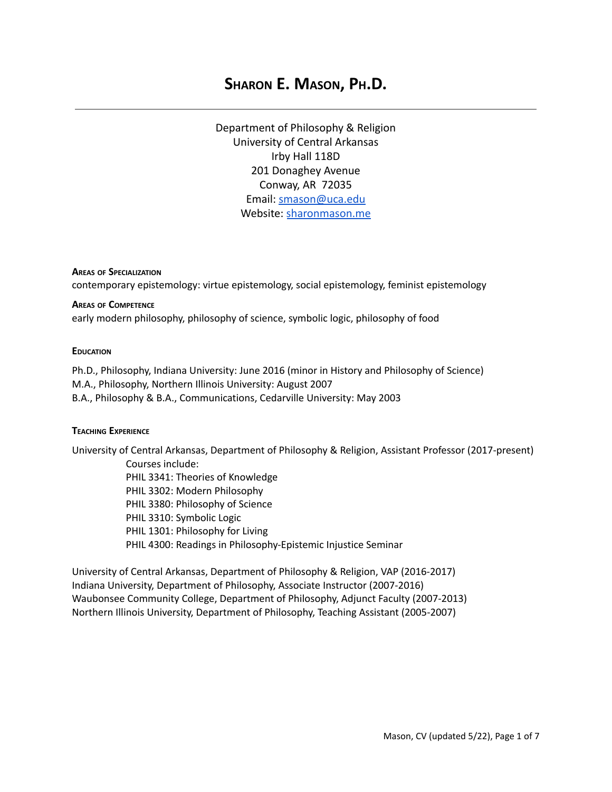# **SHARON E. MASON, PH.D.**

Department of Philosophy & Religion University of Central Arkansas Irby Hall 118D 201 Donaghey Avenue Conway, AR 72035 Email: [smason@uca.edu](mailto:smason@uca.edu) Website: [sharonmason.me](http://sharonmason.me)

**AREAS OF SPECIALIZATION**

contemporary epistemology: virtue epistemology, social epistemology, feminist epistemology

# **AREAS OF COMPETENCE** early modern philosophy, philosophy of science, symbolic logic, philosophy of food

#### **EDUCATION**

Ph.D., Philosophy, Indiana University: June 2016 (minor in History and Philosophy of Science) M.A., Philosophy, Northern Illinois University: August 2007 B.A., Philosophy & B.A., Communications, Cedarville University: May 2003

#### **TEACHING EXPERIENCE**

University of Central Arkansas, Department of Philosophy & Religion, Assistant Professor (2017-present)

Courses include: PHIL 3341: Theories of Knowledge PHIL 3302: Modern Philosophy PHIL 3380: Philosophy of Science PHIL 3310: Symbolic Logic PHIL 1301: Philosophy for Living PHIL 4300: Readings in Philosophy-Epistemic Injustice Seminar

University of Central Arkansas, Department of Philosophy & Religion, VAP (2016-2017) Indiana University, Department of Philosophy, Associate Instructor (2007-2016) Waubonsee Community College, Department of Philosophy, Adjunct Faculty (2007-2013) Northern Illinois University, Department of Philosophy, Teaching Assistant (2005-2007)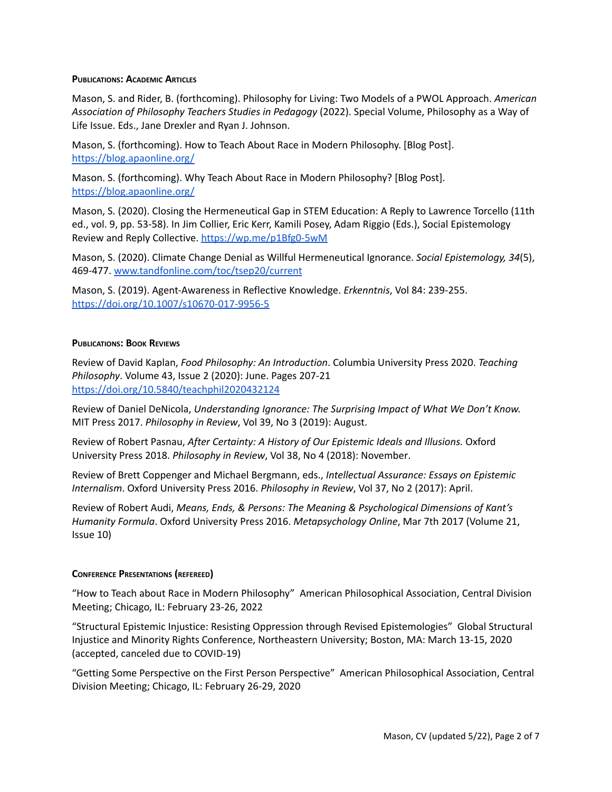# **PUBLICATIONS: ACADEMIC ARTICLES**

Mason, S. and Rider, B. (forthcoming). Philosophy for Living: Two Models of a PWOL Approach. *American Association of Philosophy Teachers Studies in Pedagogy* (2022). Special Volume, Philosophy as a Way of Life Issue. Eds., Jane Drexler and Ryan J. Johnson.

Mason, S. (forthcoming). How to Teach About Race in Modern Philosophy. [Blog Post]. <https://blog.apaonline.org/>

Mason. S. (forthcoming). Why Teach About Race in Modern Philosophy? [Blog Post]. <https://blog.apaonline.org/>

Mason, S. (2020). Closing the Hermeneutical Gap in STEM Education: A Reply to Lawrence Torcello (11th ed., vol. 9, pp. 53-58). In Jim Collier, Eric Kerr, Kamili Posey, Adam Riggio (Eds.), Social Epistemology Review and Reply Collective. <https://wp.me/p1Bfg0-5wM>

Mason, S. (2020). Climate Change Denial as Willful Hermeneutical Ignorance. *Social Epistemology, 34*(5), 469-477. [www.tandfonline.com/toc/tsep20/current](http://www.tandfonline.com/toc/tsep20/current)

Mason, S. (2019). Agent-Awareness in Reflective Knowledge. *Erkenntnis*, Vol 84: 239-255. <https://doi.org/10.1007/s10670-017-9956-5>

#### **PUBLICATIONS: BOOK REVIEWS**

Review of David Kaplan, *Food Philosophy: An Introduction*. Columbia University Press 2020. *Teaching Philosophy*. Volume 43, Issue 2 (2020): June. Pages 207-21 <https://doi.org/10.5840/teachphil2020432124>

Review of Daniel DeNicola, *Understanding Ignorance: The Surprising Impact of What We Don't Know.* MIT Press 2017. *Philosophy in Review*, Vol 39, No 3 (2019): August.

Review of Robert Pasnau, *After Certainty: A History of Our Epistemic Ideals and Illusions.* Oxford University Press 2018. *Philosophy in Review*, Vol 38, No 4 (2018): [November](https://journals.uvic.ca/index.php/pir/issue/view/1129).

Review of Brett Coppenger and Michael Bergmann, eds., *Intellectual Assurance: Essays on Epistemic Internalism*. Oxford University Press 2016. *Philosophy in Review*, Vol 37, No 2 [\(2017\):](https://journals.uvic.ca/index.php/pir/issue/view/1129) April.

Review of Robert Audi, *Means, Ends, & Persons: The Meaning & Psychological Dimensions of Kant's Humanity Formula*. Oxford University Press 2016. *Metapsychology Online*, Mar 7th 2017 (Volume 21, Issue 10)

# **CONFERENCE PRESENTATIONS (REFEREED)**

"How to Teach about Race in Modern Philosophy" American Philosophical Association, Central Division Meeting; Chicago, IL: February 23-26, 2022

"Structural Epistemic Injustice: Resisting Oppression through Revised Epistemologies" Global Structural Injustice and Minority Rights Conference, Northeastern University; Boston, MA: March 13-15, 2020 (accepted, canceled due to COVID-19)

"Getting Some Perspective on the First Person Perspective" American Philosophical Association, Central Division Meeting; Chicago, IL: February 26-29, 2020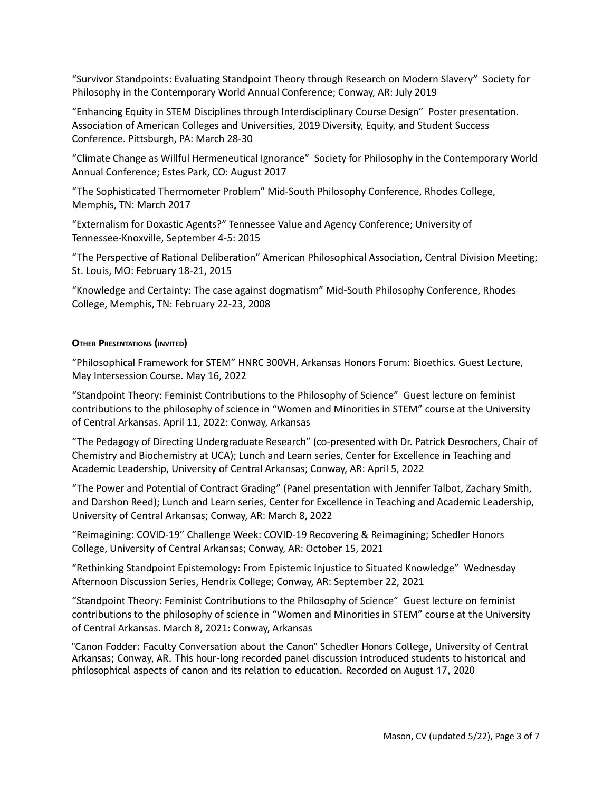"Survivor Standpoints: Evaluating Standpoint Theory through Research on Modern Slavery" Society for Philosophy in the Contemporary World Annual Conference; Conway, AR: July 2019

"Enhancing Equity in STEM Disciplines through Interdisciplinary Course Design" Poster presentation. Association of American Colleges and Universities, 2019 Diversity, Equity, and Student Success Conference. Pittsburgh, PA: March 28-30

"Climate Change as Willful Hermeneutical Ignorance" Society for Philosophy in the Contemporary World Annual Conference; Estes Park, CO: August 2017

"The Sophisticated Thermometer Problem" Mid-South Philosophy Conference, Rhodes College, Memphis, TN: March 2017

"Externalism for Doxastic Agents?" Tennessee Value and Agency Conference; University of Tennessee-Knoxville, September 4-5: 2015

"The Perspective of Rational Deliberation" American Philosophical Association, Central Division Meeting; St. Louis, MO: February 18-21, 2015

"Knowledge and Certainty: The case against dogmatism" Mid-South Philosophy Conference, Rhodes College, Memphis, TN: February 22-23, 2008

# **OTHER PRESENTATIONS (INVITED)**

"Philosophical Framework for STEM" HNRC 300VH, Arkansas Honors Forum: Bioethics. Guest Lecture, May Intersession Course. May 16, 2022

"Standpoint Theory: Feminist Contributions to the Philosophy of Science" Guest lecture on feminist contributions to the philosophy of science in "Women and Minorities in STEM" course at the University of Central Arkansas. April 11, 2022: Conway, Arkansas

"The Pedagogy of Directing Undergraduate Research" (co-presented with Dr. Patrick Desrochers, Chair of Chemistry and Biochemistry at UCA); Lunch and Learn series, Center for Excellence in Teaching and Academic Leadership, University of Central Arkansas; Conway, AR: April 5, 2022

"The Power and Potential of Contract Grading" (Panel presentation with Jennifer Talbot, Zachary Smith, and Darshon Reed); Lunch and Learn series, Center for Excellence in Teaching and Academic Leadership, University of Central Arkansas; Conway, AR: March 8, 2022

"Reimagining: COVID-19" Challenge Week: COVID-19 Recovering & Reimagining; Schedler Honors College, University of Central Arkansas; Conway, AR: October 15, 2021

"Rethinking Standpoint Epistemology: From Epistemic Injustice to Situated Knowledge" Wednesday Afternoon Discussion Series, Hendrix College; Conway, AR: September 22, 2021

"Standpoint Theory: Feminist Contributions to the Philosophy of Science" Guest lecture on feminist contributions to the philosophy of science in "Women and Minorities in STEM" course at the University of Central Arkansas. March 8, 2021: Conway, Arkansas

"Canon Fodder: Faculty Conversation about the Canon" Schedler Honors College, University of Central Arkansas; Conway, AR. This hour-long recorded panel discussion introduced students to historical and philosophical aspects of canon and its relation to education. Recorded on August 17, 2020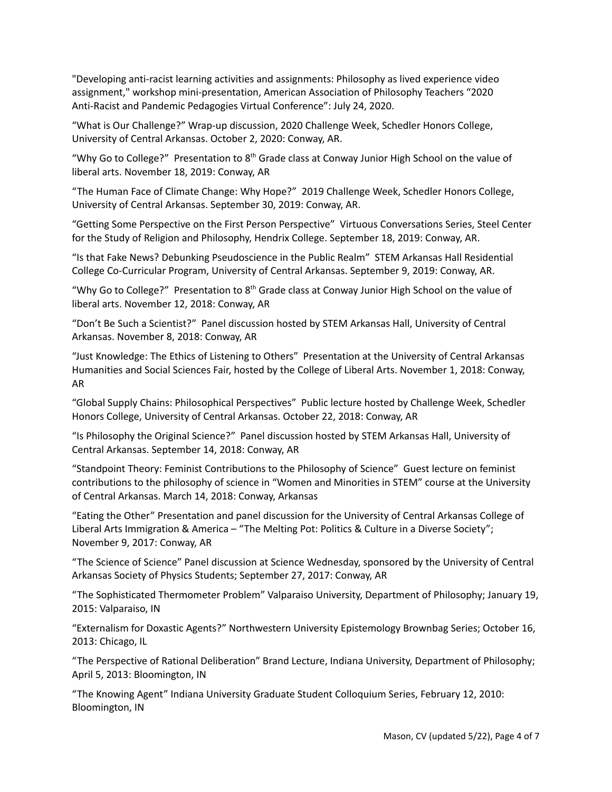"Developing anti-racist learning activities and assignments: Philosophy as lived experience video assignment," workshop mini-presentation, American Association of Philosophy Teachers "2020 Anti-Racist and Pandemic Pedagogies Virtual Conference": July 24, 2020.

"What is Our Challenge?" Wrap-up discussion, 2020 Challenge Week, Schedler Honors College, University of Central Arkansas. October 2, 2020: Conway, AR.

"Why Go to College?" Presentation to 8<sup>th</sup> Grade class at Conway Junior High School on the value of liberal arts. November 18, 2019: Conway, AR

"The Human Face of Climate Change: Why Hope?" 2019 Challenge Week, Schedler Honors College, University of Central Arkansas. September 30, 2019: Conway, AR.

"Getting Some Perspective on the First Person Perspective" Virtuous Conversations Series, Steel Center for the Study of Religion and Philosophy, Hendrix College. September 18, 2019: Conway, AR.

"Is that Fake News? Debunking Pseudoscience in the Public Realm" STEM Arkansas Hall Residential College Co-Curricular Program, University of Central Arkansas. September 9, 2019: Conway, AR.

"Why Go to College?" Presentation to 8<sup>th</sup> Grade class at Conway Junior High School on the value of liberal arts. November 12, 2018: Conway, AR

"Don't Be Such a Scientist?" Panel discussion hosted by STEM Arkansas Hall, University of Central Arkansas. November 8, 2018: Conway, AR

"Just Knowledge: The Ethics of Listening to Others" Presentation at the University of Central Arkansas Humanities and Social Sciences Fair, hosted by the College of Liberal Arts. November 1, 2018: Conway, AR

"Global Supply Chains: Philosophical Perspectives" Public lecture hosted by Challenge Week, Schedler Honors College, University of Central Arkansas. October 22, 2018: Conway, AR

"Is Philosophy the Original Science?" Panel discussion hosted by STEM Arkansas Hall, University of Central Arkansas. September 14, 2018: Conway, AR

"Standpoint Theory: Feminist Contributions to the Philosophy of Science" Guest lecture on feminist contributions to the philosophy of science in "Women and Minorities in STEM" course at the University of Central Arkansas. March 14, 2018: Conway, Arkansas

"Eating the Other" Presentation and panel discussion for the University of Central Arkansas College of Liberal Arts Immigration & America – "The Melting Pot: Politics & Culture in a Diverse Society"; November 9, 2017: Conway, AR

"The Science of Science" Panel discussion at Science Wednesday, sponsored by the University of Central Arkansas Society of Physics Students; September 27, 2017: Conway, AR

"The Sophisticated Thermometer Problem" Valparaiso University, Department of Philosophy; January 19, 2015: Valparaiso, IN

"Externalism for Doxastic Agents?" Northwestern University Epistemology Brownbag Series; October 16, 2013: Chicago, IL

"The Perspective of Rational Deliberation" Brand Lecture, Indiana University, Department of Philosophy; April 5, 2013: Bloomington, IN

"The Knowing Agent" Indiana University Graduate Student Colloquium Series, February 12, 2010: Bloomington, IN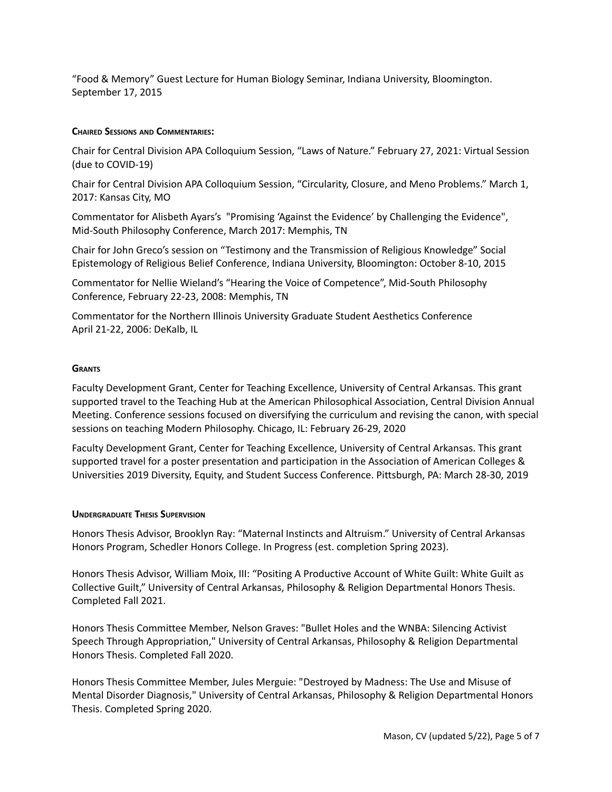"Food & Memory" Guest Lecture for Human Biology Seminar, Indiana University, Bloomington. September 17, 2015

# **CHAIRED SESSIONS AND COMMENTARIES:**

Chair for Central Division APA Colloquium Session, "Laws of Nature." February 27, 2021: Virtual Session (due to COVID-19)

Chair for Central Division APA Colloquium Session, "Circularity, Closure, and Meno Problems." March 1, 2017: Kansas City, MO

Commentator for Alisbeth Ayars's "Promising 'Against the Evidence' by Challenging the Evidence", Mid-South Philosophy Conference, March 2017: Memphis, TN

Chair for John Greco's session on "Testimony and the Transmission of Religious Knowledge" Social Epistemology of Religious Belief Conference, Indiana University, Bloomington: October 8-10, 2015

Commentator for Nellie Wieland's "Hearing the Voice of Competence", Mid-South Philosophy Conference, February 22-23, 2008: Memphis, TN

Commentator for the Northern Illinois University Graduate Student Aesthetics Conference April 21-22, 2006: DeKalb, IL

# **GRANTS**

Faculty Development Grant, Center for Teaching Excellence, University of Central Arkansas. This grant supported travel to the Teaching Hub at the American Philosophical Association, Central Division Annual Meeting. Conference sessions focused on diversifying the curriculum and revising the canon, with special sessions on teaching Modern Philosophy. Chicago, IL: February 26-29, 2020

Faculty Development Grant, Center for Teaching Excellence, University of Central Arkansas. This grant supported travel for a poster presentation and participation in the Association of American Colleges & Universities 2019 Diversity, Equity, and Student Success Conference. Pittsburgh, PA: March 28-30, 2019

# **UNDERGRADUATE THESIS SUPERVISION**

Honors Thesis Advisor, Brooklyn Ray: "Maternal Instincts and Altruism." University of Central Arkansas Honors Program, Schedler Honors College. In Progress (est. completion Spring 2023).

Honors Thesis Advisor, William Moix, III: "Positing A Productive Account of White Guilt: White Guilt as Collective Guilt," University of Central Arkansas, Philosophy & Religion Departmental Honors Thesis. Completed Fall 2021.

Honors Thesis Committee Member, Nelson Graves: "Bullet Holes and the WNBA: Silencing Activist Speech Through Appropriation," University of Central Arkansas, Philosophy & Religion Departmental Honors Thesis. Completed Fall 2020.

Honors Thesis Committee Member, Jules Merguie: "Destroyed by Madness: The Use and Misuse of Mental Disorder Diagnosis," University of Central Arkansas, Philosophy & Religion Departmental Honors Thesis. Completed Spring 2020.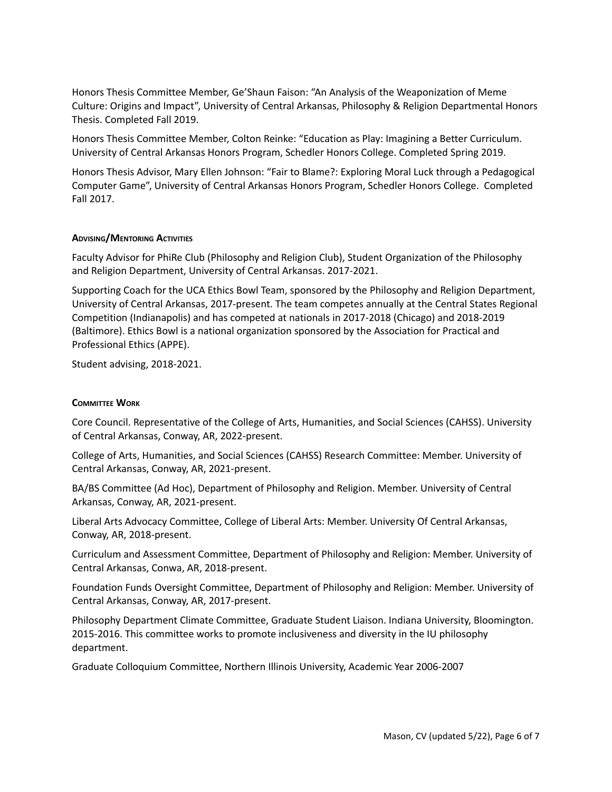Honors Thesis Committee Member, Ge'Shaun Faison: "An Analysis of the Weaponization of Meme Culture: Origins and Impact", University of Central Arkansas, Philosophy & Religion Departmental Honors Thesis. Completed Fall 2019.

Honors Thesis Committee Member, Colton Reinke: "Education as Play: Imagining a Better Curriculum. University of Central Arkansas Honors Program, Schedler Honors College. Completed Spring 2019.

Honors Thesis Advisor, Mary Ellen Johnson: "Fair to Blame?: Exploring Moral Luck through a Pedagogical Computer Game", University of Central Arkansas Honors Program, Schedler Honors College. Completed Fall 2017.

# **ADVISING/MENTORING ACTIVITIES**

Faculty Advisor for PhiRe Club (Philosophy and Religion Club), Student Organization of the Philosophy and Religion Department, University of Central Arkansas. 2017-2021.

Supporting Coach for the UCA Ethics Bowl Team, sponsored by the Philosophy and Religion Department, University of Central Arkansas, 2017-present. The team competes annually at the Central States Regional Competition (Indianapolis) and has competed at nationals in 2017-2018 (Chicago) and 2018-2019 (Baltimore). Ethics Bowl is a national organization sponsored by the Association for Practical and Professional Ethics (APPE).

Student advising, 2018-2021.

# **COMMITTEE WORK**

Core Council. Representative of the College of Arts, Humanities, and Social Sciences (CAHSS). University of Central Arkansas, Conway, AR, 2022-present.

College of Arts, Humanities, and Social Sciences (CAHSS) Research Committee: Member. University of Central Arkansas, Conway, AR, 2021-present.

BA/BS Committee (Ad Hoc), Department of Philosophy and Religion. Member. University of Central Arkansas, Conway, AR, 2021-present.

Liberal Arts Advocacy Committee, College of Liberal Arts: Member. University Of Central Arkansas, Conway, AR, 2018-present.

Curriculum and Assessment Committee, Department of Philosophy and Religion: Member. University of Central Arkansas, Conwa, AR, 2018-present.

Foundation Funds Oversight Committee, Department of Philosophy and Religion: Member. University of Central Arkansas, Conway, AR, 2017-present.

Philosophy Department Climate Committee, Graduate Student Liaison. Indiana University, Bloomington. 2015-2016. This committee works to promote inclusiveness and diversity in the IU philosophy department.

Graduate Colloquium Committee, Northern Illinois University, Academic Year 2006-2007